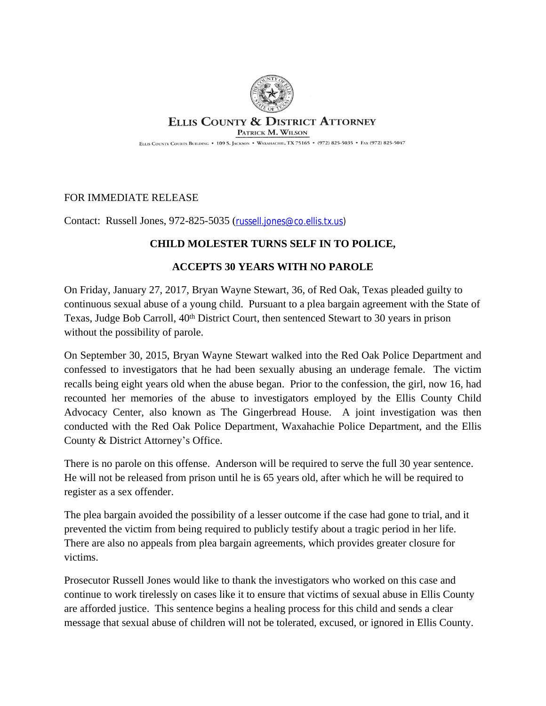

## **ELLIS COUNTY & DISTRICT ATTORNEY**

PATRICK M. WILSON

ELLIS COUNTY COURTS BUILDING . 109 S. JACKSON . WAXAHACHIE, TX 75165 . (972) 825-5035 . FAX (972) 825-5047

## FOR IMMEDIATE RELEASE

Contact: Russell Jones, 972-825-5035 ([russell.jones@co.ellis.tx.us\)](file:///C:\\Users\\patrick.wilson\\AppData\\Local\\Microsoft\\Windows\\Temporary%20Internet%20Files\\Content.Outlook\\NAH1HPZC\\russell.jones@co.ellis.tx.us)

## **CHILD MOLESTER TURNS SELF IN TO POLICE,**

## **ACCEPTS 30 YEARS WITH NO PAROLE**

On Friday, January 27, 2017, Bryan Wayne Stewart, 36, of Red Oak, Texas pleaded guilty to continuous sexual abuse of a young child. Pursuant to a plea bargain agreement with the State of Texas, Judge Bob Carroll, 40<sup>th</sup> District Court, then sentenced Stewart to 30 years in prison without the possibility of parole.

On September 30, 2015, Bryan Wayne Stewart walked into the Red Oak Police Department and confessed to investigators that he had been sexually abusing an underage female. The victim recalls being eight years old when the abuse began. Prior to the confession, the girl, now 16, had recounted her memories of the abuse to investigators employed by the Ellis County Child Advocacy Center, also known as The Gingerbread House. A joint investigation was then conducted with the Red Oak Police Department, Waxahachie Police Department, and the Ellis County & District Attorney's Office.

There is no parole on this offense. Anderson will be required to serve the full 30 year sentence. He will not be released from prison until he is 65 years old, after which he will be required to register as a sex offender.

The plea bargain avoided the possibility of a lesser outcome if the case had gone to trial, and it prevented the victim from being required to publicly testify about a tragic period in her life. There are also no appeals from plea bargain agreements, which provides greater closure for victims.

Prosecutor Russell Jones would like to thank the investigators who worked on this case and continue to work tirelessly on cases like it to ensure that victims of sexual abuse in Ellis County are afforded justice. This sentence begins a healing process for this child and sends a clear message that sexual abuse of children will not be tolerated, excused, or ignored in Ellis County.